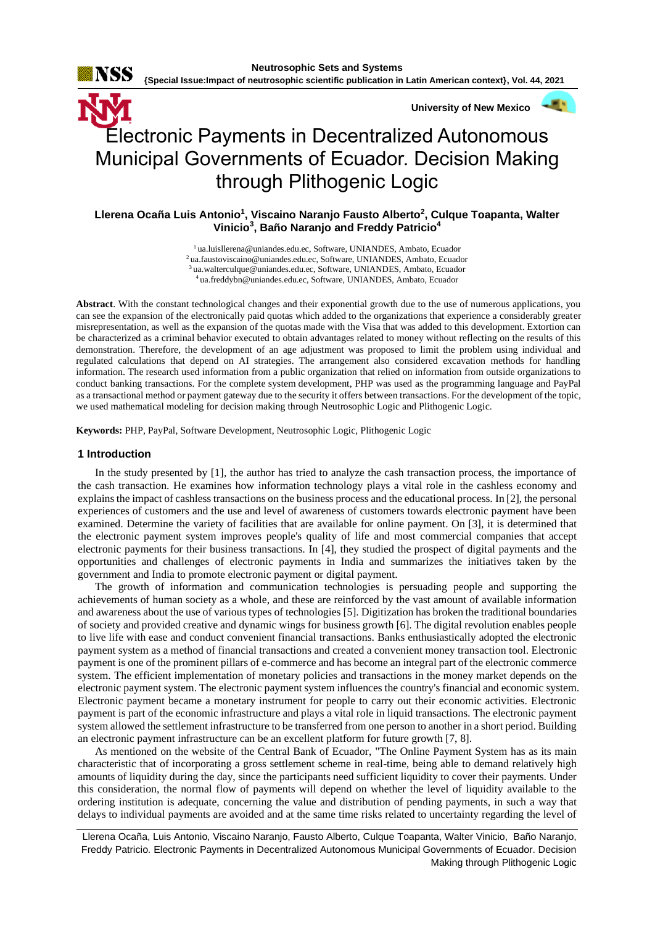



# Electronic Payments in Decentralized Autonomous Municipal Governments of Ecuador. Decision Making through Plithogenic Logic

# **Llerena Ocaña Luis Antonio<sup>1</sup> , Viscaino Naranjo Fausto Alberto<sup>2</sup> , Culque Toapanta, Walter Vinicio<sup>3</sup> , Baño Naranjo and Freddy Patricio<sup>4</sup>**

ua.luisllerena@uniandes.edu.ec, Software, UNIANDES, Ambato, Ecuador ua.faustoviscaino@uniandes.edu.ec, Software, UNIANDES, Ambato, Ecuador ua.walterculque@uniandes.edu.ec, Software, UNIANDES, Ambato, Ecuador ua.freddybn@uniandes.edu.ec, Software, UNIANDES, Ambato, Ecuador

**Abstract**. With the constant technological changes and their exponential growth due to the use of numerous applications, you can see the expansion of the electronically paid quotas which added to the organizations that experience a considerably greater misrepresentation, as well as the expansion of the quotas made with the Visa that was added to this development. Extortion can be characterized as a criminal behavior executed to obtain advantages related to money without reflecting on the results of this demonstration. Therefore, the development of an age adjustment was proposed to limit the problem using individual and regulated calculations that depend on AI strategies. The arrangement also considered excavation methods for handling information. The research used information from a public organization that relied on information from outside organizations to conduct banking transactions. For the complete system development, PHP was used as the programming language and PayPal as a transactional method or payment gateway due to the security it offers between transactions. For the development of the topic, we used mathematical modeling for decision making through Neutrosophic Logic and Plithogenic Logic.

**Keywords:** PHP, PayPal, Software Development, Neutrosophic Logic, Plithogenic Logic

## **1 Introduction**

In the study presented by [\[1\]](#page-6-0), the author has tried to analyze the cash transaction process, the importance of the cash transaction. He examines how information technology plays a vital role in the cashless economy and explains the impact of cashless transactions on the business process and the educational process. In [\[2\]](#page-6-1), the personal experiences of customers and the use and level of awareness of customers towards electronic payment have been examined. Determine the variety of facilities that are available for online payment. On [\[3\]](#page-6-2), it is determined that the electronic payment system improves people's quality of life and most commercial companies that accept electronic payments for their business transactions. In [\[4\]](#page-6-3), they studied the prospect of digital payments and the opportunities and challenges of electronic payments in India and summarizes the initiatives taken by the government and India to promote electronic payment or digital payment.

The growth of information and communication technologies is persuading people and supporting the achievements of human society as a whole, and these are reinforced by the vast amount of available information and awareness about the use of various types of technologies [\[5\]](#page-6-4). Digitization has broken the traditional boundaries of society and provided creative and dynamic wings for business growth [\[6\]](#page-6-5). The digital revolution enables people to live life with ease and conduct convenient financial transactions. Banks enthusiastically adopted the electronic payment system as a method of financial transactions and created a convenient money transaction tool. Electronic payment is one of the prominent pillars of e-commerce and has become an integral part of the electronic commerce system. The efficient implementation of monetary policies and transactions in the money market depends on the electronic payment system. The electronic payment system influences the country's financial and economic system. Electronic payment became a monetary instrument for people to carry out their economic activities. Electronic payment is part of the economic infrastructure and plays a vital role in liquid transactions. The electronic payment system allowed the settlement infrastructure to be transferred from one person to another in a short period. Building an electronic payment infrastructure can be an excellent platform for future growth [\[7,](#page-7-0) [8\]](#page-7-1).

As mentioned on the website of the Central Bank of Ecuador, "The Online Payment System has as its main characteristic that of incorporating a gross settlement scheme in real-time, being able to demand relatively high amounts of liquidity during the day, since the participants need sufficient liquidity to cover their payments. Under this consideration, the normal flow of payments will depend on whether the level of liquidity available to the ordering institution is adequate, concerning the value and distribution of pending payments, in such a way that delays to individual payments are avoided and at the same time risks related to uncertainty regarding the level of

Llerena Ocaña, Luis Antonio, Viscaino Naranjo, Fausto Alberto, Culque Toapanta, Walter Vinicio, Baño Naranjo, Freddy Patricio. Electronic Payments in Decentralized Autonomous Municipal Governments of Ecuador. Decision Making through Plithogenic Logic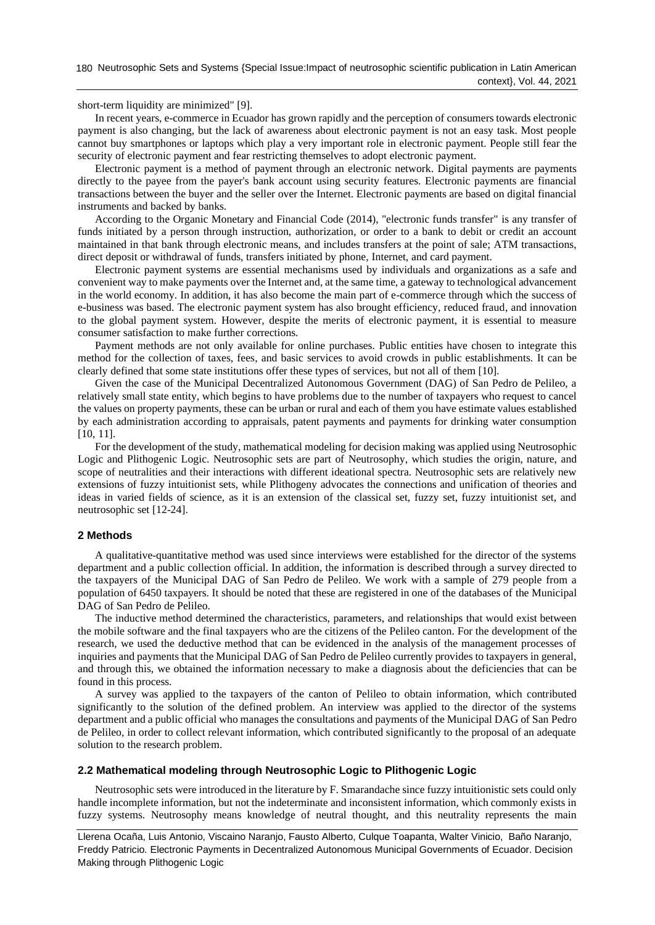short-term liquidity are minimized" [\[9\]](#page-7-2).

In recent years, e-commerce in Ecuador has grown rapidly and the perception of consumers towards electronic payment is also changing, but the lack of awareness about electronic payment is not an easy task. Most people cannot buy smartphones or laptops which play a very important role in electronic payment. People still fear the security of electronic payment and fear restricting themselves to adopt electronic payment.

Electronic payment is a method of payment through an electronic network. Digital payments are payments directly to the payee from the payer's bank account using security features. Electronic payments are financial transactions between the buyer and the seller over the Internet. Electronic payments are based on digital financial instruments and backed by banks.

According to the Organic Monetary and Financial Code (2014), "electronic funds transfer" is any transfer of funds initiated by a person through instruction, authorization, or order to a bank to debit or credit an account maintained in that bank through electronic means, and includes transfers at the point of sale; ATM transactions, direct deposit or withdrawal of funds, transfers initiated by phone, Internet, and card payment.

Electronic payment systems are essential mechanisms used by individuals and organizations as a safe and convenient way to make payments over the Internet and, at the same time, a gateway to technological advancement in the world economy. In addition, it has also become the main part of e-commerce through which the success of e-business was based. The electronic payment system has also brought efficiency, reduced fraud, and innovation to the global payment system. However, despite the merits of electronic payment, it is essential to measure consumer satisfaction to make further corrections.

Payment methods are not only available for online purchases. Public entities have chosen to integrate this method for the collection of taxes, fees, and basic services to avoid crowds in public establishments. It can be clearly defined that some state institutions offer these types of services, but not all of them [\[10\]](#page-7-3).

Given the case of the Municipal Decentralized Autonomous Government (DAG) of San Pedro de Pelileo, a relatively small state entity, which begins to have problems due to the number of taxpayers who request to cancel the values on property payments, these can be urban or rural and each of them you have estimate values established by each administration according to appraisals, patent payments and payments for drinking water consumption [\[10,](#page-7-3) [11\]](#page-7-4).

For the development of the study, mathematical modeling for decision making was applied using Neutrosophic Logic and Plithogenic Logic. Neutrosophic sets are part of Neutrosophy, which studies the origin, nature, and scope of neutralities and their interactions with different ideational spectra. Neutrosophic sets are relatively new extensions of fuzzy intuitionist sets, while Plithogeny advocates the connections and unification of theories and ideas in varied fields of science, as it is an extension of the classical set, fuzzy set, fuzzy intuitionist set, and neutrosophic set [\[12-24\]](#page-7-5).

# **2 Methods**

A qualitative-quantitative method was used since interviews were established for the director of the systems department and a public collection official. In addition, the information is described through a survey directed to the taxpayers of the Municipal DAG of San Pedro de Pelileo. We work with a sample of 279 people from a population of 6450 taxpayers. It should be noted that these are registered in one of the databases of the Municipal DAG of San Pedro de Pelileo.

The inductive method determined the characteristics, parameters, and relationships that would exist between the mobile software and the final taxpayers who are the citizens of the Pelileo canton. For the development of the research, we used the deductive method that can be evidenced in the analysis of the management processes of inquiries and payments that the Municipal DAG of San Pedro de Pelileo currently provides to taxpayers in general, and through this, we obtained the information necessary to make a diagnosis about the deficiencies that can be found in this process.

A survey was applied to the taxpayers of the canton of Pelileo to obtain information, which contributed significantly to the solution of the defined problem. An interview was applied to the director of the systems department and a public official who manages the consultations and payments of the Municipal DAG of San Pedro de Pelileo, in order to collect relevant information, which contributed significantly to the proposal of an adequate solution to the research problem.

## **2.2 Mathematical modeling through Neutrosophic Logic to Plithogenic Logic**

Neutrosophic sets were introduced in the literature by F. Smarandache since fuzzy intuitionistic sets could only handle incomplete information, but not the indeterminate and inconsistent information, which commonly exists in fuzzy systems. Neutrosophy means knowledge of neutral thought, and this neutrality represents the main

Llerena Ocaña, Luis Antonio, Viscaino Naranjo, Fausto Alberto, Culque Toapanta, Walter Vinicio, Baño Naranjo, Freddy Patricio. Electronic Payments in Decentralized Autonomous Municipal Governments of Ecuador. Decision Making through Plithogenic Logic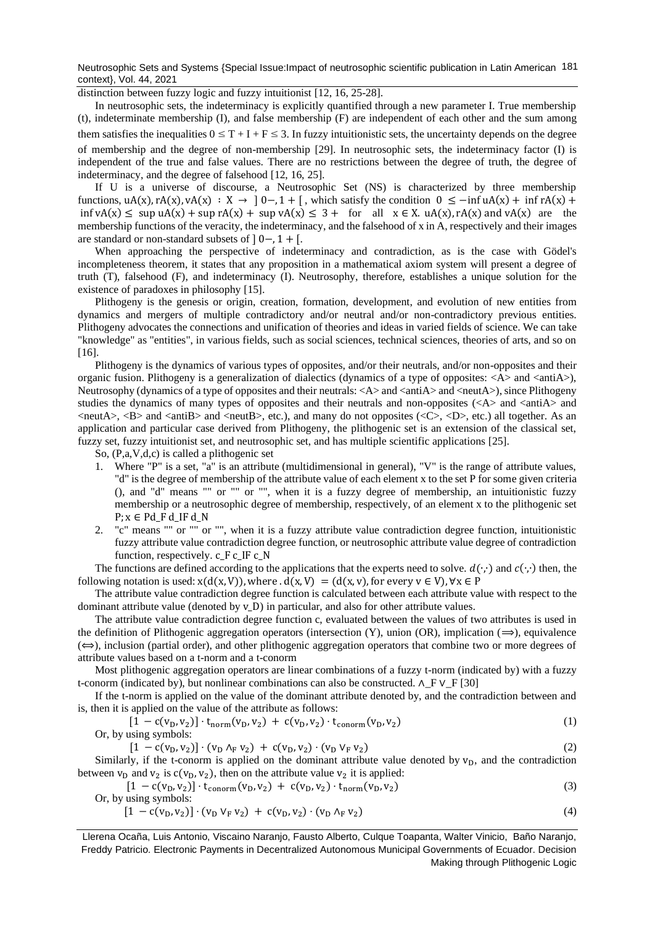Neutrosophic Sets and Systems {Special Issue:Impact of neutrosophic scientific publication in Latin American 181 context}, Vol. 44, 2021

distinction between fuzzy logic and fuzzy intuitionist [\[12,](#page-7-5) [16,](#page-7-6) [25-28\]](#page-7-7).

In neutrosophic sets, the indeterminacy is explicitly quantified through a new parameter I. True membership (t), indeterminate membership (I), and false membership (F) are independent of each other and the sum among them satisfies the inequalities  $0 \leq T + I + F \leq 3$ . In fuzzy intuitionistic sets, the uncertainty depends on the degree of membership and the degree of non-membership [\[29\]](#page-7-8). In neutrosophic sets, the indeterminacy factor (I) is independent of the true and false values. There are no restrictions between the degree of truth, the degree of indeterminacy, and the degree of falsehood [\[12,](#page-7-5) [16,](#page-7-6) [25\]](#page-7-7).

If U is a universe of discourse, a Neutrosophic Set (NS) is characterized by three membership functions,  $uA(x)$ ,  $rA(x)$ ,  $vA(x) : X \to 0, 1 + 1$ , which satisfy the condition  $0 \le -\inf uA(x) + \inf rA(x) +$ inf vA(x)  $\leq$  sup uA(x) + sup rA(x) + sup vA(x)  $\leq$  3 + for all  $x \in X$ . uA(x), rA(x) and vA(x) are the membership functions of the veracity, the indeterminacy, and the falsehood of x in A, respectively and their images are standard or non-standard subsets of  $] 0-.1 + [$ .

When approaching the perspective of indeterminacy and contradiction, as is the case with Gödel's incompleteness theorem, it states that any proposition in a mathematical axiom system will present a degree of truth (T), falsehood (F), and indeterminacy (I). Neutrosophy, therefore, establishes a unique solution for the existence of paradoxes in philosophy [\[15\]](#page-7-9).

Plithogeny is the genesis or origin, creation, formation, development, and evolution of new entities from dynamics and mergers of multiple contradictory and/or neutral and/or non-contradictory previous entities. Plithogeny advocates the connections and unification of theories and ideas in varied fields of science. We can take "knowledge" as "entities", in various fields, such as social sciences, technical sciences, theories of arts, and so on [16].

Plithogeny is the dynamics of various types of opposites, and/or their neutrals, and/or non-opposites and their organic fusion. Plithogeny is a generalization of dialectics (dynamics of a type of opposites:  $\langle A \rangle$  and  $\langle \text{antiA}\rangle$ ), Neutrosophy (dynamics of a type of opposites and their neutrals: <A> and <antiA> and <neutA>), since Plithogeny studies the dynamics of many types of opposites and their neutrals and non-opposites  $\langle \langle A \rangle$  and  $\langle \langle \rangle$  and  $\langle \rangle$  and  $\langle$ neutA $\rangle$ ,  $\langle$ B $\rangle$  and  $\langle$ antiB $\rangle$  and  $\langle$ neutB $\rangle$ , etc.), and many do not opposites ( $\langle$ C $\rangle$ ,  $\langle$ D $\rangle$ , etc.) all together. As an application and particular case derived from Plithogeny, the plithogenic set is an extension of the classical set, fuzzy set, fuzzy intuitionist set, and neutrosophic set, and has multiple scientific applications [\[25\]](#page-7-7).

So, (P,a,V,d,c) is called a plithogenic set

- 1. Where "P" is a set, "a" is an attribute (multidimensional in general), "V" is the range of attribute values, "d" is the degree of membership of the attribute value of each element x to the set P for some given criteria (), and "d" means "" or "" or "", when it is a fuzzy degree of membership, an intuitionistic fuzzy membership or a neutrosophic degree of membership, respectively, of an element x to the plithogenic set  $P; x \in Pd_F d_I F d_N$
- 2. "c" means "" or "" or "", when it is a fuzzy attribute value contradiction degree function, intuitionistic fuzzy attribute value contradiction degree function, or neutrosophic attribute value degree of contradiction function, respectively. c\_F c\_IF c\_N

The functions are defined according to the applications that the experts need to solve.  $d(\cdot, \cdot)$  and  $c(\cdot, \cdot)$  then, the following notation is used:  $x(d(x, V))$ , where .  $d(x, V) = (d(x, v))$ , for every  $v \in V$ ,  $\forall x \in P$ 

The attribute value contradiction degree function is calculated between each attribute value with respect to the dominant attribute value (denoted by v\_D) in particular, and also for other attribute values.

The attribute value contradiction degree function c, evaluated between the values of two attributes is used in the definition of Plithogenic aggregation operators (intersection  $(Y)$ , union  $(OR)$ , implication  $(\Rightarrow)$ , equivalence  $(\Leftrightarrow)$ , inclusion (partial order), and other plithogenic aggregation operators that combine two or more degrees of attribute values based on a t-norm and a t-conorm

Most plithogenic aggregation operators are linear combinations of a fuzzy t-norm (indicated by) with a fuzzy t-conorm (indicated by), but nonlinear combinations can also be constructed. ∧ F ∨ F [\[30\]](#page-7-10)

If the t-norm is applied on the value of the dominant attribute denoted by, and the contradiction between and is, then it is applied on the value of the attribute as follows:

$$
[1 - c(v_D, v_2)] \cdot t_{norm}(v_D, v_2) + c(v_D, v_2) \cdot t_{conorm}(v_D, v_2)
$$
\n(1)

Or, by using symbols:

$$
[1 - c(v_D, v_2)] \cdot (v_D \wedge_F v_2) + c(v_D, v_2) \cdot (v_D \vee_F v_2)
$$
 (2)

Similarly, if the t-conorm is applied on the dominant attribute value denoted by  $v<sub>D</sub>$ , and the contradiction between  $v_D$  and  $v_2$  is  $c(v_D, v_2)$ , then on the attribute value  $v_2$  it is applied:

$$
[1 - c(v_D, v_2)] \cdot t_{\text{conorm}}(v_D, v_2) + c(v_D, v_2) \cdot t_{\text{norm}}(v_D, v_2)
$$
 (3)

Or, by using symbols:

$$
[1 - c(v_D, v_2)] \cdot (v_D \, v_F \, v_2) + c(v_D, v_2) \cdot (v_D \, \Lambda_F \, v_2) \tag{4}
$$

Llerena Ocaña, Luis Antonio, Viscaino Naranjo, Fausto Alberto, Culque Toapanta, Walter Vinicio, Baño Naranjo, Freddy Patricio. Electronic Payments in Decentralized Autonomous Municipal Governments of Ecuador. Decision Making through Plithogenic Logic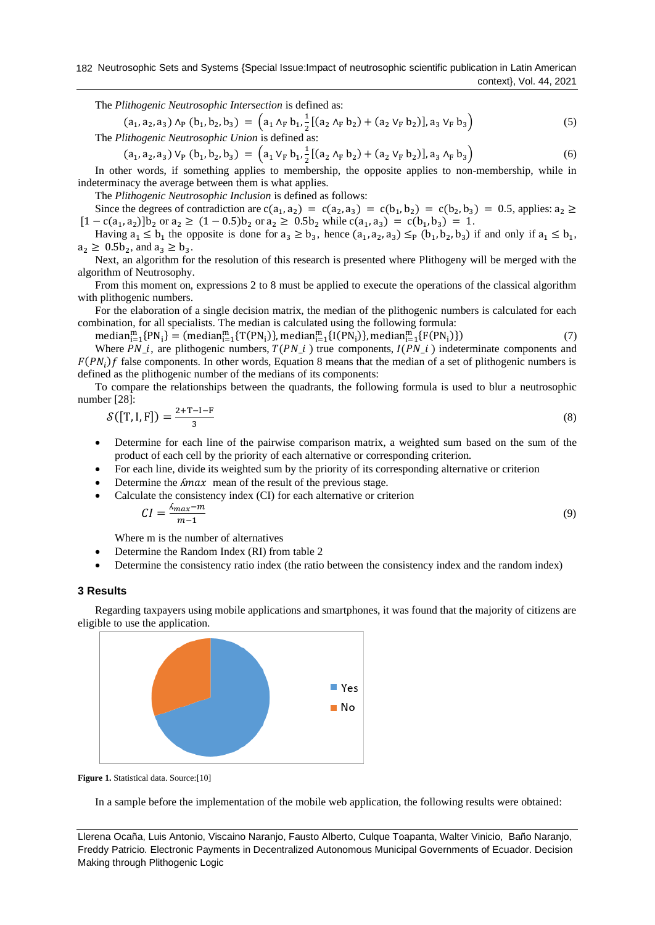The *Plithogenic Neutrosophic Intersection* is defined as:

$$
(a_1, a_2, a_3) \wedge_P (b_1, b_2, b_3) = \left( a_1 \wedge_F b_1, \frac{1}{2} [(a_2 \wedge_F b_2) + (a_2 \vee_F b_2)], a_3 \vee_F b_3 \right)
$$
\nThe *Plithogenic Newtonis Union* is defined as:

\n(5)

 $(a_1, a_2, a_3) V_P (b_1, b_2, b_3) = (a_1 V_F b_1, \frac{1}{2})$  $\frac{1}{2}$ [(a<sub>2</sub>  $\Lambda_F$  b<sub>2</sub>) + (a<sub>2</sub>  $V_F$  b<sub>2</sub>)], a<sub>3</sub>  $\Lambda_F$  b<sub>3</sub>) (6)

In other words, if something applies to membership, the opposite applies to non-membership, while in indeterminacy the average between them is what applies.

The *Plithogenic Neutrosophic Inclusion* is defined as follows:

Since the degrees of contradiction are  $c(a_1, a_2) = c(a_2, a_3) = c(b_1, b_2) = c(b_2, b_3) = 0.5$ , applies:  $a_2 \ge$  $[1 - c(a_1, a_2)]b_2$  or  $a_2 \ge (1 - 0.5)b_2$  or  $a_2 \ge 0.5b_2$  while  $c(a_1, a_3) = c(b_1, b_3) = 1$ .

Having  $a_1 \leq b_1$  the opposite is done for  $a_3 \geq b_3$ , hence  $(a_1, a_2, a_3) \leq_p (b_1, b_2, b_3)$  if and only if  $a_1 \leq b_1$ ,  $a_2 \geq 0.5b_2$ , and  $a_3 \geq b_3$ .

Next, an algorithm for the resolution of this research is presented where Plithogeny will be merged with the algorithm of Neutrosophy.

From this moment on, expressions 2 to 8 must be applied to execute the operations of the classical algorithm with plithogenic numbers.

For the elaboration of a single decision matrix, the median of the plithogenic numbers is calculated for each combination, for all specialists. The median is calculated using the following formula:

 $median_{i=1}^{m} {PN_i} = (median_{i=1}^{m} {T(PN_i)}$ ,  $median_{i=1}^{m} {I(PN_i)}$ ,  $median_{i=1}^{m} {F(PN_i)}$  (7)

Where  $PN_{\perp i}$ , are plithogenic numbers,  $T(PN_{\perp} i)$  true components,  $I(PN_{\perp} i)$  indeterminate components and  $F(PN_i)f$  false components. In other words, Equation 8 means that the median of a set of plithogenic numbers is defined as the plithogenic number of the medians of its components:

To compare the relationships between the quadrants, the following formula is used to blur a neutrosophic number [28]:

$$
\mathcal{S}([T, I, F]) = \frac{2 + T - I - F}{3} \tag{8}
$$

• Determine for each line of the pairwise comparison matrix, a weighted sum based on the sum of the product of each cell by the priority of each alternative or corresponding criterion.

(9)

- For each line, divide its weighted sum by the priority of its corresponding alternative or criterion
- Determine the  $\Lambda max$  mean of the result of the previous stage.
- Calculate the consistency index (CI) for each alternative or criterion

$$
CI = \frac{\Lambda_{max} - m}{m - 1}
$$

Where m is the number of alternatives

- Determine the Random Index (RI) from table 2
- Determine the consistency ratio index (the ratio between the consistency index and the random index)

## **3 Results**

Regarding taxpayers using mobile applications and smartphones, it was found that the majority of citizens are eligible to use the application.



**Figure 1.** Statistical data. Source:[\[10\]](#page-7-3)

In a sample before the implementation of the mobile web application, the following results were obtained:

Llerena Ocaña, Luis Antonio, Viscaino Naranjo, Fausto Alberto, Culque Toapanta, Walter Vinicio, Baño Naranjo, Freddy Patricio. Electronic Payments in Decentralized Autonomous Municipal Governments of Ecuador. Decision Making through Plithogenic Logic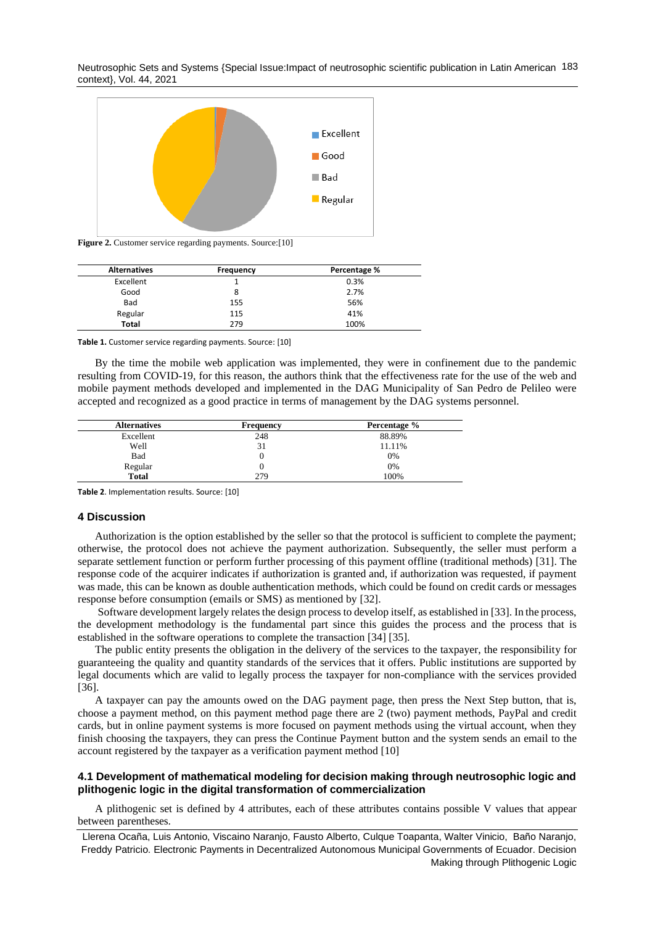Neutrosophic Sets and Systems {Special Issue:Impact of neutrosophic scientific publication in Latin American 183 context}, Vol. 44, 2021



**Figure 2.** Customer service regarding payments. Source[:\[10\]](#page-7-3)

| <b>Alternatives</b> | <b>Frequency</b> | Percentage % |
|---------------------|------------------|--------------|
| Excellent           |                  | 0.3%         |
| Good                | 8                | 2.7%         |
| Bad                 | 155              | 56%          |
| Regular             | 115              | 41%          |
| Total               | 279              | 100%         |

**Table 1.** Customer service regarding payments. Source: [\[10\]](#page-7-3)

By the time the mobile web application was implemented, they were in confinement due to the pandemic resulting from COVID-19, for this reason, the authors think that the effectiveness rate for the use of the web and mobile payment methods developed and implemented in the DAG Municipality of San Pedro de Pelileo were accepted and recognized as a good practice in terms of management by the DAG systems personnel.

| <b>Alternatives</b> | <b>Frequency</b> | Percentage % |
|---------------------|------------------|--------------|
| Excellent           | 248              | 88.89%       |
| Well                | 31               | 11.11%       |
| Bad                 |                  | 0%           |
| Regular             |                  | 0%           |
| <b>Total</b>        | 279              | 100%         |

**Table 2**. Implementation results. Source: [\[10\]](#page-7-3)

#### **4 Discussion**

Authorization is the option established by the seller so that the protocol is sufficient to complete the payment; otherwise, the protocol does not achieve the payment authorization. Subsequently, the seller must perform a separate settlement function or perform further processing of this payment offline (traditional methods) [\[31\]](#page-7-11). The response code of the acquirer indicates if authorization is granted and, if authorization was requested, if payment was made, this can be known as double authentication methods, which could be found on credit cards or messages response before consumption (emails or SMS) as mentioned by [\[32\]](#page-7-12).

Software development largely relates the design process to develop itself, as established in [\[33\]](#page-7-13). In the process, the development methodology is the fundamental part since this guides the process and the process that is established in the software operations to complete the transaction [\[34\]](#page-8-0) [\[35\]](#page-8-1).

The public entity presents the obligation in the delivery of the services to the taxpayer, the responsibility for guaranteeing the quality and quantity standards of the services that it offers. Public institutions are supported by legal documents which are valid to legally process the taxpayer for non-compliance with the services provided [\[36\]](#page-8-2).

A taxpayer can pay the amounts owed on the DAG payment page, then press the Next Step button, that is, choose a payment method, on this payment method page there are 2 (two) payment methods, PayPal and credit cards, but in online payment systems is more focused on payment methods using the virtual account, when they finish choosing the taxpayers, they can press the Continue Payment button and the system sends an email to the account registered by the taxpayer as a verification payment method [\[10\]](#page-7-3)

# **4.1 Development of mathematical modeling for decision making through neutrosophic logic and plithogenic logic in the digital transformation of commercialization**

A plithogenic set is defined by 4 attributes, each of these attributes contains possible V values that appear between parentheses.

Llerena Ocaña, Luis Antonio, Viscaino Naranjo, Fausto Alberto, Culque Toapanta, Walter Vinicio, Baño Naranjo, Freddy Patricio. Electronic Payments in Decentralized Autonomous Municipal Governments of Ecuador. Decision Making through Plithogenic Logic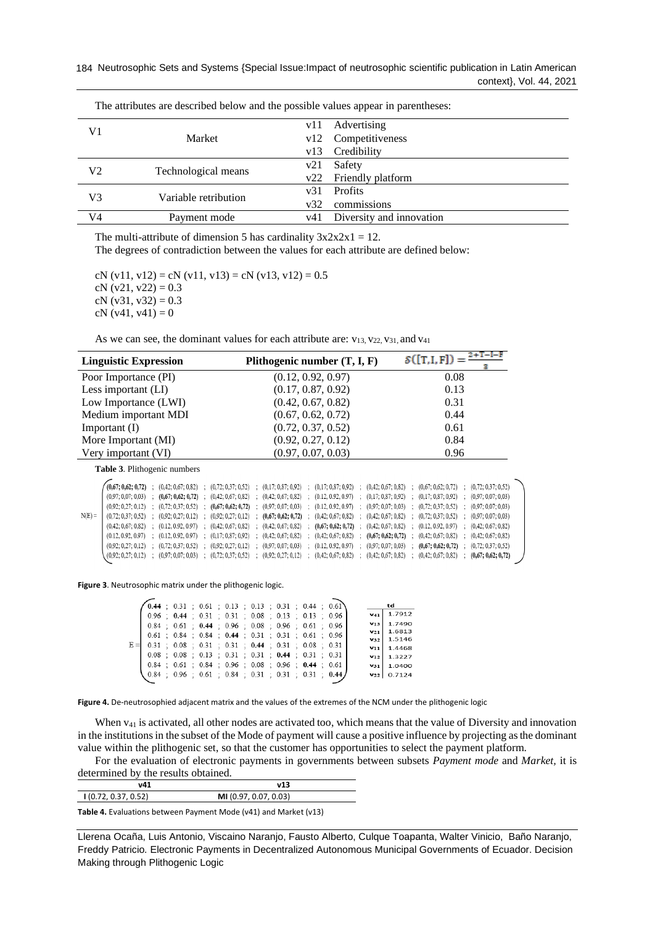|                |                      |     | . .                          |
|----------------|----------------------|-----|------------------------------|
| V1             |                      |     | v11 Advertising              |
|                | Market               |     | v12 Competitiveness          |
|                |                      |     | v13 Credibility              |
| V2             |                      | v21 | Safety                       |
|                | Technological means  |     | v22 Friendly platform        |
| V3             |                      |     | v31 Profits                  |
|                | Variable retribution | v32 | commissions                  |
| V <sub>4</sub> | Payment mode         |     | v41 Diversity and innovation |
|                |                      |     |                              |

The attributes are described below and the possible values appear in parentheses:

The multi-attribute of dimension 5 has cardinality  $3x2x2x1 = 12$ . The degrees of contradiction between the values for each attribute are defined below:

cN (v11, v12) = cN (v11, v13) = cN (v13, v12) =  $0.5$ cN (v21, v22) =  $0.3$ cN  $(v31, v32) = 0.3$  $cN (v41, v41) = 0$ 

As we can see, the dominant values for each attribute are:  $v_{13}$ ,  $v_{22}$ ,  $v_{31}$ , and  $v_{41}$ 

| <b>Linguistic Expression</b>                                                                                                                                                                                                                                                                                                                                                                                                                  | Plithogenic number $(T, I, F)$                                                                                                                                                                                                                                                                                                                                                                                                                                                                                                                                                                                                                                  | $S([T,I,F]) =$                                                                                                                                                                                                                                                                                                                                                     |  |  |  |  |
|-----------------------------------------------------------------------------------------------------------------------------------------------------------------------------------------------------------------------------------------------------------------------------------------------------------------------------------------------------------------------------------------------------------------------------------------------|-----------------------------------------------------------------------------------------------------------------------------------------------------------------------------------------------------------------------------------------------------------------------------------------------------------------------------------------------------------------------------------------------------------------------------------------------------------------------------------------------------------------------------------------------------------------------------------------------------------------------------------------------------------------|--------------------------------------------------------------------------------------------------------------------------------------------------------------------------------------------------------------------------------------------------------------------------------------------------------------------------------------------------------------------|--|--|--|--|
| Poor Importance (PI)                                                                                                                                                                                                                                                                                                                                                                                                                          | (0.12, 0.92, 0.97)                                                                                                                                                                                                                                                                                                                                                                                                                                                                                                                                                                                                                                              | 0.08                                                                                                                                                                                                                                                                                                                                                               |  |  |  |  |
| Less important (LI)                                                                                                                                                                                                                                                                                                                                                                                                                           | (0.17, 0.87, 0.92)                                                                                                                                                                                                                                                                                                                                                                                                                                                                                                                                                                                                                                              | 0.13                                                                                                                                                                                                                                                                                                                                                               |  |  |  |  |
| Low Importance (LWI)                                                                                                                                                                                                                                                                                                                                                                                                                          | (0.42, 0.67, 0.82)<br>0.31                                                                                                                                                                                                                                                                                                                                                                                                                                                                                                                                                                                                                                      |                                                                                                                                                                                                                                                                                                                                                                    |  |  |  |  |
| Medium important MDI                                                                                                                                                                                                                                                                                                                                                                                                                          | 0.44<br>(0.67, 0.62, 0.72)                                                                                                                                                                                                                                                                                                                                                                                                                                                                                                                                                                                                                                      |                                                                                                                                                                                                                                                                                                                                                                    |  |  |  |  |
| Important $(I)$                                                                                                                                                                                                                                                                                                                                                                                                                               | (0.72, 0.37, 0.52)                                                                                                                                                                                                                                                                                                                                                                                                                                                                                                                                                                                                                                              | 0.61                                                                                                                                                                                                                                                                                                                                                               |  |  |  |  |
| More Important (MI)                                                                                                                                                                                                                                                                                                                                                                                                                           | (0.92, 0.27, 0.12)<br>0.84                                                                                                                                                                                                                                                                                                                                                                                                                                                                                                                                                                                                                                      |                                                                                                                                                                                                                                                                                                                                                                    |  |  |  |  |
| Very important (VI)                                                                                                                                                                                                                                                                                                                                                                                                                           | (0.97, 0.07, 0.03)<br>0.96                                                                                                                                                                                                                                                                                                                                                                                                                                                                                                                                                                                                                                      |                                                                                                                                                                                                                                                                                                                                                                    |  |  |  |  |
| <b>Table 3. Plithogenic numbers</b>                                                                                                                                                                                                                                                                                                                                                                                                           |                                                                                                                                                                                                                                                                                                                                                                                                                                                                                                                                                                                                                                                                 |                                                                                                                                                                                                                                                                                                                                                                    |  |  |  |  |
| (0,67; 0,62; 0,72)<br>(0,42; 0,67; 0,82)<br>(0.72; 0.37; 0.52)<br>(0.97; 0.07; 0.03)<br>(0.67; 0.62; 0.72)<br>(0,92; 0,27; 0,12)<br>(0,72; 0,37; 0,52)<br>$N(E) =$<br>(0, 72; 0, 37; 0, 52)<br>(0,92; 0,27; 0,12)<br>(0,42; 0,67; 0,82)<br>(0.12, 0.92, 0.97)<br>(0.12, 0.92, 0.97)<br>(0.12, 0.92, 0.97)<br>(0.17; 0.87; 0.92)<br>(0,92; 0,27; 0,12)<br>(0,72; 0,37; 0,52)<br>(0,92; 0,27; 0,12)<br>(0,72; 0,37; 0,52)<br>(0,97; 0,07; 0,03) | (0.17; 0.87; 0.92)<br>(0.17; 0.87; 0.92)<br>(0.42; 0.67; 0.82)<br>(0.42; 0.67; 0.82)<br>(0.42; 0.67; 0.82)<br>(0.12, 0.92, 0.97)<br>(0,17; 0,87; 0,92)<br>(0,67; 0,62; 0,72)<br>(0,97; 0,07; 0,03)<br>(0.12, 0.92, 0.97)<br>(0.97; 0.07; 0.03)<br>(0,92; 0,27; 0,12)<br>(0,42; 0,67; 0,82)<br>(0,67; 0,62; 0,72)<br>(0,42; 0,67; 0,82)<br>(0.42; 0.67; 0.82)<br>(0.67; 0.62; 0.72)<br>(0,42; 0,67; 0,82)<br>(0,42; 0,67; 0,82)<br>(0.42; 0.67; 0.82)<br>(0,42; 0,67; 0,82)<br>(0,67; 0,62; 0,72)<br>÷<br>(0,97; 0,07; 0,03)<br>(0.12, 0.92, 0.97)<br>(0.97; 0.07; 0.03)<br>(0.92; 0.27; 0.12)<br>(0,92; 0,27; 0,12)<br>(0,42; 0,67; 0,82)<br>(0,42; 0,67; 0,82) | (0.67; 0.62; 0.72)<br>(0,72; 0,37; 0,52)<br>(0,97; 0,07; 0,03)<br>(0.17; 0.87; 0.92)<br>(0, 72; 0, 37; 0, 52)<br>(0,97; 0,07; 0,03)<br>(0,72; 0,37; 0,52)<br>(0,97; 0,07; 0,03)<br>(0.12, 0.92, 0.97)<br>(0,42; 0,67; 0,82)<br>(0.42; 0.67; 0.82)<br>(0,42; 0,67; 0,82)<br>(0, 72; 0, 37; 0, 52)<br>(0,67; 0,62; 0,72)<br>(0,42; 0,67; 0,82)<br>(0,67; 0,62; 0,72) |  |  |  |  |

**Figure 3**. Neutrosophic matrix under the plithogenic logic.

| $(0.44 \div 0.31 \div 0.61 \div 0.13 \div 0.13 \div 0.31 \div 0.44 \div 0.61)$              |  |                                                                       |  |  |          | td              |
|---------------------------------------------------------------------------------------------|--|-----------------------------------------------------------------------|--|--|----------|-----------------|
|                                                                                             |  | $0.96$ ; $0.44$ ; $0.31$ ; $0.31$ ; $0.08$ ; $0.13$ ; $0.13$ ; $0.96$ |  |  |          | $v_{41}$ 1.7912 |
|                                                                                             |  | $0.84$ ; $0.61$ ; $0.44$ ; $0.96$ ; $0.08$ ; $0.96$ ; $0.61$ ; $0.96$ |  |  | V13      | 1.7490          |
|                                                                                             |  | $0.61$ ; $0.84$ ; $0.84$ ; $0.44$ ; $0.31$ ; $0.31$ ; $0.61$ ; $0.96$ |  |  | $V_{21}$ | 1.6813          |
|                                                                                             |  |                                                                       |  |  | V32      | 1.5146          |
| $E = \begin{bmatrix} 0.31 \\ 0.08 \\ 0.08 \end{bmatrix}$ ; 0.31 ; 0.44 ; 0.31 ; 0.08 ; 0.31 |  |                                                                       |  |  |          | $v_{11}$ 1.4468 |
|                                                                                             |  | $0.08$ ; $0.08$ ; $0.13$ ; $0.31$ ; $0.31$ ; $0.44$ ; $0.31$ ; $0.31$ |  |  |          | $v_{12}$ 1.3227 |
|                                                                                             |  | $0.84$ ; $0.61$ ; $0.84$ ; $0.96$ ; $0.08$ ; $0.96$ ; $0.44$ ; $0.61$ |  |  |          | $v_{31}$ 1.0400 |
| $\{0.84$ ; 0.96 ; 0.61 ; 0.84 ; 0.31 ; 0.31 ; 0.31 ; 0.44                                   |  |                                                                       |  |  |          | $v_{22}$ 0.7124 |
|                                                                                             |  |                                                                       |  |  |          |                 |

**Figure 4.** De-neutrosophied adjacent matrix and the values of the extremes of the NCM under the plithogenic logic

When v<sub>41</sub> is activated, all other nodes are activated too, which means that the value of Diversity and innovation in the institutions in the subset of the Mode of payment will cause a positive influence by projecting as the dominant value within the plithogenic set, so that the customer has opportunities to select the payment platform.

For the evaluation of electronic payments in governments between subsets *Payment mode* and *Market,* it is determined by the results obtained.

| v41                | v13                   |
|--------------------|-----------------------|
| (0.72, 0.37, 0.52) | MI (0.97, 0.07, 0.03) |
|                    |                       |

**Table 4.** Evaluations between Payment Mode (v41) and Market (v13)

Llerena Ocaña, Luis Antonio, Viscaino Naranjo, Fausto Alberto, Culque Toapanta, Walter Vinicio, Baño Naranjo, Freddy Patricio. Electronic Payments in Decentralized Autonomous Municipal Governments of Ecuador. Decision Making through Plithogenic Logic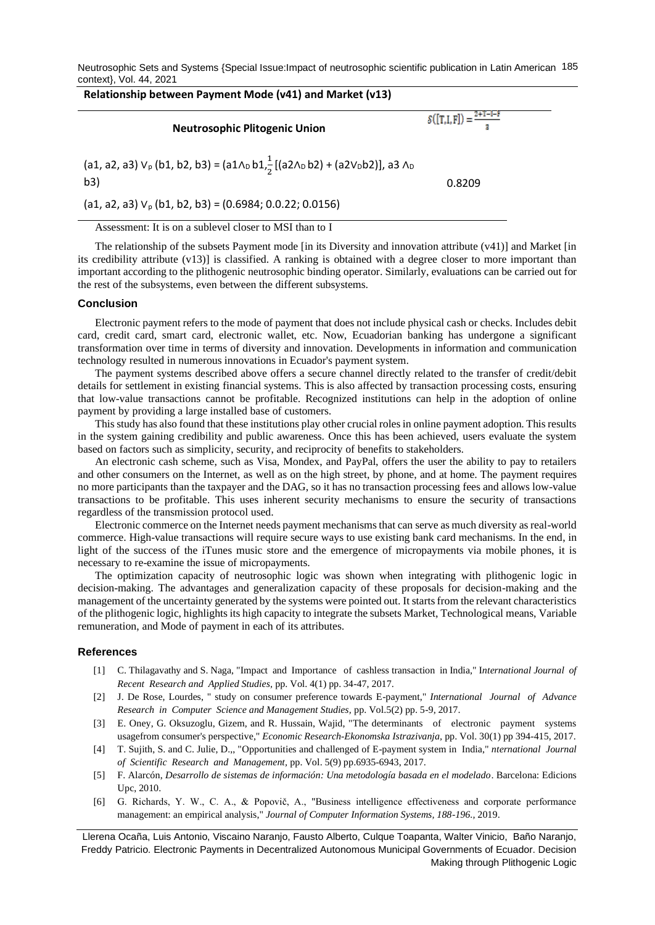Neutrosophic Sets and Systems {Special Issue:Impact of neutrosophic scientific publication in Latin American 185 context}, Vol. 44, 2021

# **Relationship between Payment Mode (v41) and Market (v13)**

**Neutrosophic Plitogenic Union**

 $\mathcal{S}([T,I,F]) = \frac{2}{\pi}$ 

(a1, a2, a3) V<sub>p</sub> (b1, b2, b3) = 
$$
(a1 \wedge_b b1, \frac{1}{2}[(a2 \wedge_b b2) + (a2 \vee_b b2)]
$$
, a3  $\wedge_b$ 

b3) 0.8209

(a1, a2, a3)  $V_p$  (b1, b2, b3) = (0.6984; 0.0.22; 0.0156)

Assessment: It is on a sublevel closer to MSI than to I

The relationship of the subsets Payment mode [in its Diversity and innovation attribute (v41)] and Market [in its credibility attribute (v13)] is classified. A ranking is obtained with a degree closer to more important than important according to the plithogenic neutrosophic binding operator. Similarly, evaluations can be carried out for the rest of the subsystems, even between the different subsystems.

#### **Conclusion**

Electronic payment refers to the mode of payment that does not include physical cash or checks. Includes debit card, credit card, smart card, electronic wallet, etc. Now, Ecuadorian banking has undergone a significant transformation over time in terms of diversity and innovation. Developments in information and communication technology resulted in numerous innovations in Ecuador's payment system.

The payment systems described above offers a secure channel directly related to the transfer of credit/debit details for settlement in existing financial systems. This is also affected by transaction processing costs, ensuring that low-value transactions cannot be profitable. Recognized institutions can help in the adoption of online payment by providing a large installed base of customers.

This study has also found that these institutions play other crucial roles in online payment adoption. This results in the system gaining credibility and public awareness. Once this has been achieved, users evaluate the system based on factors such as simplicity, security, and reciprocity of benefits to stakeholders.

An electronic cash scheme, such as Visa, Mondex, and PayPal, offers the user the ability to pay to retailers and other consumers on the Internet, as well as on the high street, by phone, and at home. The payment requires no more participants than the taxpayer and the DAG, so it has no transaction processing fees and allows low-value transactions to be profitable. This uses inherent security mechanisms to ensure the security of transactions regardless of the transmission protocol used.

Electronic commerce on the Internet needs payment mechanisms that can serve as much diversity as real-world commerce. High-value transactions will require secure ways to use existing bank card mechanisms. In the end, in light of the success of the iTunes music store and the emergence of micropayments via mobile phones, it is necessary to re-examine the issue of micropayments.

The optimization capacity of neutrosophic logic was shown when integrating with plithogenic logic in decision-making. The advantages and generalization capacity of these proposals for decision-making and the management of the uncertainty generated by the systems were pointed out. It starts from the relevant characteristics of the plithogenic logic, highlights its high capacity to integrate the subsets Market, Technological means, Variable remuneration, and Mode of payment in each of its attributes.

### **References**

- <span id="page-6-0"></span>[1] C. Thilagavathy and S. Naga, "Impact and Importance of cashless transaction in India," I*nternational Journal of Recent Research and Applied Studies,* pp. Vol. 4(1) pp. 34-47, 2017.
- <span id="page-6-1"></span>[2] J. De Rose, Lourdes, " study on consumer preference towards E-payment," *International Journal of Advance Research in Computer Science and Management Studies,* pp. Vol.5(2) pp. 5-9, 2017.
- <span id="page-6-2"></span>[3] E. Oney, G. Oksuzoglu, Gizem, and R. Hussain, Wajid, "The determinants of electronic payment systems usagefrom consumer's perspective," *Economic Research-Ekonomska Istrazivanja,* pp. Vol. 30(1) pp 394-415, 2017.
- <span id="page-6-3"></span>[4] T. Sujith, S. and C. Julie, D.,, "Opportunities and challenged of E-payment system in India," *nternational Journal of Scientific Research and Management,* pp. Vol. 5(9) pp.6935-6943, 2017.
- <span id="page-6-4"></span>[5] F. Alarcón, *Desarrollo de sistemas de información: Una metodología basada en el modelado*. Barcelona: Edicions Upc, 2010.
- <span id="page-6-5"></span>[6] G. Richards, Y. W., C. A., & Popovič, A., "Business intelligence effectiveness and corporate performance management: an empirical analysis," *Journal of Computer Information Systems, 188-196.,* 2019.

Llerena Ocaña, Luis Antonio, Viscaino Naranjo, Fausto Alberto, Culque Toapanta, Walter Vinicio, Baño Naranjo, Freddy Patricio. Electronic Payments in Decentralized Autonomous Municipal Governments of Ecuador. Decision Making through Plithogenic Logic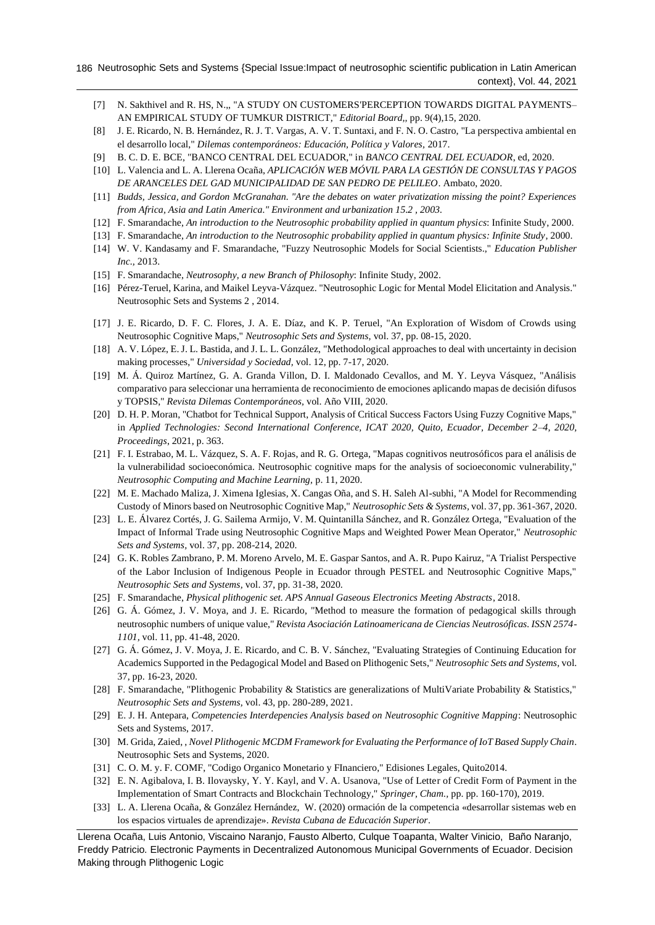- <span id="page-7-0"></span>[7] N. Sakthivel and R. HS, N.,, "A STUDY ON CUSTOMERS'PERCEPTION TOWARDS DIGITAL PAYMENTS– AN EMPIRICAL STUDY OF TUMKUR DISTRICT," *Editorial Board,,* pp. 9(4),15, 2020.
- <span id="page-7-1"></span>[8] J. E. Ricardo, N. B. Hernández, R. J. T. Vargas, A. V. T. Suntaxi, and F. N. O. Castro, "La perspectiva ambiental en el desarrollo local," *Dilemas contemporáneos: Educación, Política y Valores,* 2017.
- <span id="page-7-2"></span>[9] B. C. D. E. BCE, "BANCO CENTRAL DEL ECUADOR," in *BANCO CENTRAL DEL ECUADOR*, ed, 2020.
- <span id="page-7-3"></span>[10] L. Valencia and L. A. Llerena Ocaña, *APLICACIÓN WEB MÓVIL PARA LA GESTIÓN DE CONSULTAS Y PAGOS DE ARANCELES DEL GAD MUNICIPALIDAD DE SAN PEDRO DE PELILEO*. Ambato, 2020.
- <span id="page-7-4"></span>[11] *Budds, Jessica, and Gordon McGranahan. "Are the debates on water privatization missing the point? Experiences from Africa, Asia and Latin America." Environment and urbanization 15.2 , 2003.*
- <span id="page-7-5"></span>[12] F. Smarandache, *An introduction to the Neutrosophic probability applied in quantum physics*: Infinite Study, 2000.
- [13] F. Smarandache, *An introduction to the Neutrosophic probability applied in quantum physics: Infinite Study*, 2000.
- [14] W. V. Kandasamy and F. Smarandache, "Fuzzy Neutrosophic Models for Social Scientists.," *Education Publisher Inc.,* 2013.
- <span id="page-7-9"></span>[15] F. Smarandache, *Neutrosophy, a new Branch of Philosophy*: Infinite Study, 2002.
- <span id="page-7-6"></span>[16] Pérez-Teruel, Karina, and Maikel Leyva-Vázquez. "Neutrosophic Logic for Mental Model Elicitation and Analysis." Neutrosophic Sets and Systems 2 , 2014.
- [17] J. E. Ricardo, D. F. C. Flores, J. A. E. Díaz, and K. P. Teruel, "An Exploration of Wisdom of Crowds using Neutrosophic Cognitive Maps," *Neutrosophic Sets and Systems,* vol. 37, pp. 08-15, 2020.
- [18] A. V. López, E. J. L. Bastida, and J. L. L. González, "Methodological approaches to deal with uncertainty in decision making processes," *Universidad y Sociedad,* vol. 12, pp. 7-17, 2020.
- [19] M. Á. Quiroz Martínez, G. A. Granda Villon, D. I. Maldonado Cevallos, and M. Y. Leyva Vásquez, "Análisis comparativo para seleccionar una herramienta de reconocimiento de emociones aplicando mapas de decisión difusos y TOPSIS," *Revista Dilemas Contemporáneos,* vol. Año VIII, 2020.
- [20] D. H. P. Moran, "Chatbot for Technical Support, Analysis of Critical Success Factors Using Fuzzy Cognitive Maps," in *Applied Technologies: Second International Conference, ICAT 2020, Quito, Ecuador, December 2–4, 2020, Proceedings*, 2021, p. 363.
- [21] F. I. Estrabao, M. L. Vázquez, S. A. F. Rojas, and R. G. Ortega, "Mapas cognitivos neutrosóficos para el análisis de la vulnerabilidad socioeconómica. Neutrosophic cognitive maps for the analysis of socioeconomic vulnerability," *Neutrosophic Computing and Machine Learning,* p. 11, 2020.
- [22] M. E. Machado Maliza, J. Ximena Iglesias, X. Cangas Oña, and S. H. Saleh Al-subhi, "A Model for Recommending Custody of Minors based on Neutrosophic Cognitive Map," *Neutrosophic Sets & Systems,* vol. 37, pp. 361-367, 2020.
- [23] L. E. Álvarez Cortés, J. G. Sailema Armijo, V. M. Quintanilla Sánchez, and R. González Ortega, "Evaluation of the Impact of Informal Trade using Neutrosophic Cognitive Maps and Weighted Power Mean Operator," *Neutrosophic Sets and Systems,* vol. 37, pp. 208-214, 2020.
- [24] G. K. Robles Zambrano, P. M. Moreno Arvelo, M. E. Gaspar Santos, and A. R. Pupo Kairuz, "A Trialist Perspective of the Labor Inclusion of Indigenous People in Ecuador through PESTEL and Neutrosophic Cognitive Maps," *Neutrosophic Sets and Systems,* vol. 37, pp. 31-38, 2020.
- <span id="page-7-7"></span>[25] F. Smarandache, *Physical plithogenic set. APS Annual Gaseous Electronics Meeting Abstracts*, 2018.
- [26] G. Á. Gómez, J. V. Moya, and J. E. Ricardo, "Method to measure the formation of pedagogical skills through neutrosophic numbers of unique value," *Revista Asociación Latinoamericana de Ciencias Neutrosóficas. ISSN 2574- 1101,* vol. 11, pp. 41-48, 2020.
- [27] G. Á. Gómez, J. V. Moya, J. E. Ricardo, and C. B. V. Sánchez, "Evaluating Strategies of Continuing Education for Academics Supported in the Pedagogical Model and Based on Plithogenic Sets," *Neutrosophic Sets and Systems,* vol. 37, pp. 16-23, 2020.
- [28] F. Smarandache, "Plithogenic Probability & Statistics are generalizations of MultiVariate Probability & Statistics," *Neutrosophic Sets and Systems,* vol. 43, pp. 280-289, 2021.
- <span id="page-7-8"></span>[29] E. J. H. Antepara, *Competencies Interdepencies Analysis based on Neutrosophic Cognitive Mapping*: Neutrosophic Sets and Systems, 2017.
- <span id="page-7-10"></span>[30] M. Grida, Zaied, , *Novel Plithogenic MCDM Framework for Evaluating the Performance of IoT Based Supply Chain*. Neutrosophic Sets and Systems, 2020.
- <span id="page-7-11"></span>[31] C. O. M. y. F. COMF, "Codigo Organico Monetario y FInanciero," Edisiones Legales, Quito2014.
- <span id="page-7-12"></span>[32] E. N. Agibalova, I. B. Ilovaysky, Y. Y. Kayl, and V. A. Usanova, "Use of Letter of Credit Form of Payment in the Implementation of Smart Contracts and Blockchain Technology," *Springer, Cham.,* pp. pp. 160-170), 2019.
- <span id="page-7-13"></span>[33] L. A. Llerena Ocaña, & González Hernández, W. (2020) ormación de la competencia «desarrollar sistemas web en los espacios virtuales de aprendizaje». *Revista Cubana de Educación Superior*.

Llerena Ocaña, Luis Antonio, Viscaino Naranjo, Fausto Alberto, Culque Toapanta, Walter Vinicio, Baño Naranjo, Freddy Patricio. Electronic Payments in Decentralized Autonomous Municipal Governments of Ecuador. Decision Making through Plithogenic Logic